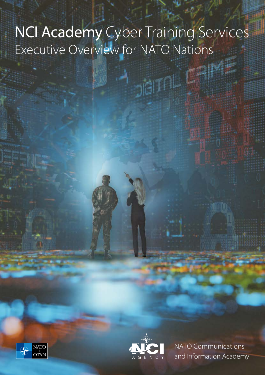# NCI Academy Cyber Training Services Executive Overview for NATO Nations

**Digition** 





NATO Communications and Information Academy